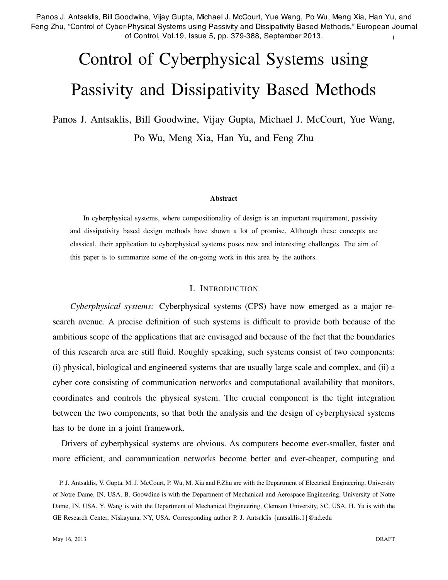1 Panos J. Antsaklis, Bill Goodwine, Vijay Gupta, Michael J. McCourt, Yue Wang, Po Wu, Meng Xia, Han Yu, and Feng Zhu, "Control of Cyber-Physical Systems using Passivity and Dissipativity Based Methods," European Journal of Control, Vol.19, Issue 5, pp. 379-388, September 2013.

# Control of Cyberphysical Systems using Passivity and Dissipativity Based Methods

Panos J. Antsaklis, Bill Goodwine, Vijay Gupta, Michael J. McCourt, Yue Wang, Po Wu, Meng Xia, Han Yu, and Feng Zhu

#### Abstract

In cyberphysical systems, where compositionality of design is an important requirement, passivity and dissipativity based design methods have shown a lot of promise. Although these concepts are classical, their application to cyberphysical systems poses new and interesting challenges. The aim of this paper is to summarize some of the on-going work in this area by the authors.

#### I. INTRODUCTION

*Cyberphysical systems:* Cyberphysical systems (CPS) have now emerged as a major research avenue. A precise definition of such systems is difficult to provide both because of the ambitious scope of the applications that are envisaged and because of the fact that the boundaries of this research area are still fluid. Roughly speaking, such systems consist of two components: (i) physical, biological and engineered systems that are usually large scale and complex, and (ii) a cyber core consisting of communication networks and computational availability that monitors, coordinates and controls the physical system. The crucial component is the tight integration between the two components, so that both the analysis and the design of cyberphysical systems has to be done in a joint framework.

Drivers of cyberphysical systems are obvious. As computers become ever-smaller, faster and more efficient, and communication networks become better and ever-cheaper, computing and

P. J. Antsaklis, V. Gupta, M. J. McCourt, P. Wu, M. Xia and F.Zhu are with the Department of Electrical Engineering, University of Notre Dame, IN, USA. B. Goowdine is with the Department of Mechanical and Aerospace Engineering, University of Notre Dame, IN, USA. Y. Wang is with the Department of Mechanical Engineering, Clemson University, SC, USA. H. Yu is with the GE Research Center, Niskayuna, NY, USA. Corresponding author P. J. Antsaklis {antsaklis.1}@nd.edu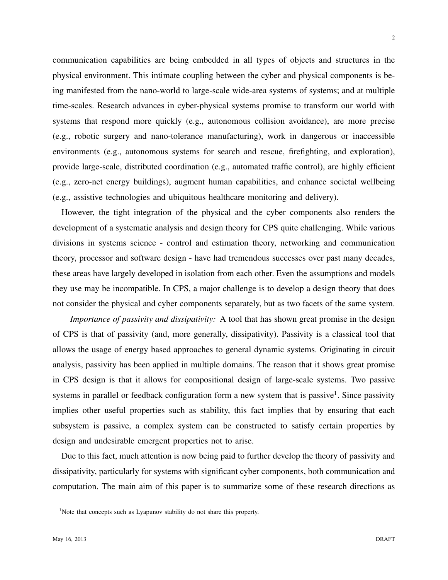communication capabilities are being embedded in all types of objects and structures in the physical environment. This intimate coupling between the cyber and physical components is be-

ing manifested from the nano-world to large-scale wide-area systems of systems; and at multiple time-scales. Research advances in cyber-physical systems promise to transform our world with systems that respond more quickly (e.g., autonomous collision avoidance), are more precise (e.g., robotic surgery and nano-tolerance manufacturing), work in dangerous or inaccessible environments (e.g., autonomous systems for search and rescue, firefighting, and exploration), provide large-scale, distributed coordination (e.g., automated traffic control), are highly efficient (e.g., zero-net energy buildings), augment human capabilities, and enhance societal wellbeing (e.g., assistive technologies and ubiquitous healthcare monitoring and delivery).

However, the tight integration of the physical and the cyber components also renders the development of a systematic analysis and design theory for CPS quite challenging. While various divisions in systems science - control and estimation theory, networking and communication theory, processor and software design - have had tremendous successes over past many decades, these areas have largely developed in isolation from each other. Even the assumptions and models they use may be incompatible. In CPS, a major challenge is to develop a design theory that does not consider the physical and cyber components separately, but as two facets of the same system.

*Importance of passivity and dissipativity:* A tool that has shown great promise in the design of CPS is that of passivity (and, more generally, dissipativity). Passivity is a classical tool that allows the usage of energy based approaches to general dynamic systems. Originating in circuit analysis, passivity has been applied in multiple domains. The reason that it shows great promise in CPS design is that it allows for compositional design of large-scale systems. Two passive systems in parallel or feedback configuration form a new system that is passive<sup>1</sup>. Since passivity implies other useful properties such as stability, this fact implies that by ensuring that each subsystem is passive, a complex system can be constructed to satisfy certain properties by design and undesirable emergent properties not to arise.

Due to this fact, much attention is now being paid to further develop the theory of passivity and dissipativity, particularly for systems with significant cyber components, both communication and computation. The main aim of this paper is to summarize some of these research directions as

<sup>&</sup>lt;sup>1</sup>Note that concepts such as Lyapunov stability do not share this property.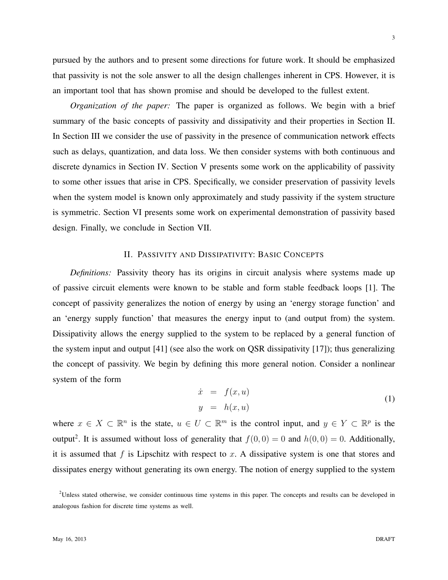pursued by the authors and to present some directions for future work. It should be emphasized that passivity is not the sole answer to all the design challenges inherent in CPS. However, it is an important tool that has shown promise and should be developed to the fullest extent.

*Organization of the paper:* The paper is organized as follows. We begin with a brief summary of the basic concepts of passivity and dissipativity and their properties in Section II. In Section III we consider the use of passivity in the presence of communication network effects such as delays, quantization, and data loss. We then consider systems with both continuous and discrete dynamics in Section IV. Section V presents some work on the applicability of passivity to some other issues that arise in CPS. Specifically, we consider preservation of passivity levels when the system model is known only approximately and study passivity if the system structure is symmetric. Section VI presents some work on experimental demonstration of passivity based design. Finally, we conclude in Section VII.

## II. PASSIVITY AND DISSIPATIVITY: BASIC CONCEPTS

*Definitions:* Passivity theory has its origins in circuit analysis where systems made up of passive circuit elements were known to be stable and form stable feedback loops [1]. The concept of passivity generalizes the notion of energy by using an 'energy storage function' and an 'energy supply function' that measures the energy input to (and output from) the system. Dissipativity allows the energy supplied to the system to be replaced by a general function of the system input and output [41] (see also the work on QSR dissipativity [17]); thus generalizing the concept of passivity. We begin by defining this more general notion. Consider a nonlinear system of the form

$$
\begin{array}{rcl}\n\dot{x} & = & f(x, u) \\
y & = & h(x, u)\n\end{array} \tag{1}
$$

where  $x \in X \subset \mathbb{R}^n$  is the state,  $u \in U \subset \mathbb{R}^m$  is the control input, and  $y \in Y \subset \mathbb{R}^p$  is the output<sup>2</sup>. It is assumed without loss of generality that  $f(0, 0) = 0$  and  $h(0, 0) = 0$ . Additionally, it is assumed that  $f$  is Lipschitz with respect to  $x$ . A dissipative system is one that stores and dissipates energy without generating its own energy. The notion of energy supplied to the system

<sup>&</sup>lt;sup>2</sup>Unless stated otherwise, we consider continuous time systems in this paper. The concepts and results can be developed in analogous fashion for discrete time systems as well.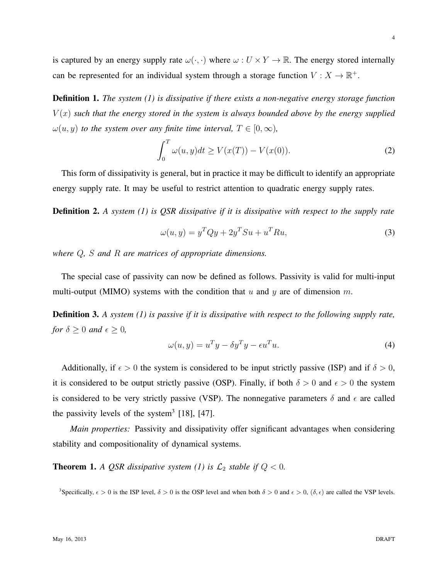is captured by an energy supply rate  $\omega(\cdot, \cdot)$  where  $\omega: U \times Y \to \mathbb{R}$ . The energy stored internally can be represented for an individual system through a storage function  $V : X \to \mathbb{R}^+$ .

Definition 1. *The system (1) is dissipative if there exists a non-negative energy storage function*  $V(x)$  *such that the energy stored in the system is always bounded above by the energy supplied*  $\omega(u, y)$  *to the system over any finite time interval,*  $T \in [0, \infty)$ ,

$$
\int_0^T \omega(u, y)dt \ge V(x(T)) - V(x(0)).
$$
\n(2)

This form of dissipativity is general, but in practice it may be difficult to identify an appropriate energy supply rate. It may be useful to restrict attention to quadratic energy supply rates.

Definition 2. *A system (1) is QSR dissipative if it is dissipative with respect to the supply rate*

$$
\omega(u, y) = y^T Q y + 2y^T S u + u^T R u,\tag{3}
$$

*where* Q*,* S *and* R *are matrices of appropriate dimensions.*

The special case of passivity can now be defined as follows. Passivity is valid for multi-input multi-output (MIMO) systems with the condition that u and y are of dimension m.

Definition 3. *A system (1) is passive if it is dissipative with respect to the following supply rate, for*  $\delta \geq 0$  *and*  $\epsilon \geq 0$ *,* 

$$
\omega(u, y) = u^T y - \delta y^T y - \epsilon u^T u. \tag{4}
$$

Additionally, if  $\epsilon > 0$  the system is considered to be input strictly passive (ISP) and if  $\delta > 0$ , it is considered to be output strictly passive (OSP). Finally, if both  $\delta > 0$  and  $\epsilon > 0$  the system is considered to be very strictly passive (VSP). The nonnegative parameters  $\delta$  and  $\epsilon$  are called the passivity levels of the system<sup>3</sup> [18], [47].

*Main properties:* Passivity and dissipativity offer significant advantages when considering stability and compositionality of dynamical systems.

**Theorem 1.** *A QSR dissipative system (1) is*  $\mathcal{L}_2$  *stable if*  $Q < 0$ *.* 

<sup>3</sup>Specifically,  $\epsilon > 0$  is the ISP level,  $\delta > 0$  is the OSP level and when both  $\delta > 0$  and  $\epsilon > 0$ ,  $(\delta, \epsilon)$  are called the VSP levels.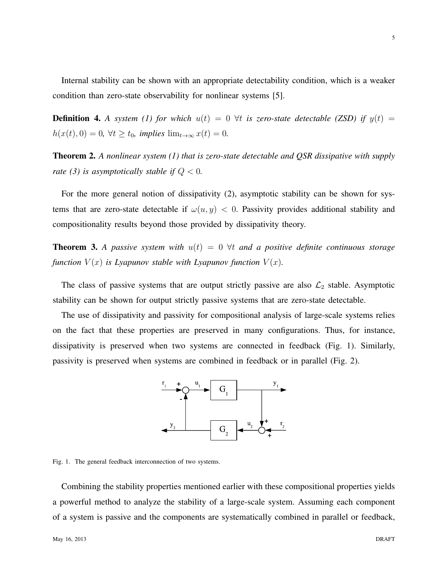Internal stability can be shown with an appropriate detectability condition, which is a weaker condition than zero-state observability for nonlinear systems [5].

**Definition 4.** A system (1) for which  $u(t)=0$   $\forall t$  is zero-state detectable (ZSD) if  $y(t)$  =  $h(x(t), 0) = 0$ ,  $\forall t \ge t_0$ *, implies*  $\lim_{t \to \infty} x(t) = 0$ *.* 

Theorem 2. *A nonlinear system (1) that is zero-state detectable and QSR dissipative with supply rate* (3) *is asymptotically stable if*  $Q < 0$ *.* 

For the more general notion of dissipativity (2), asymptotic stability can be shown for systems that are zero-state detectable if  $\omega(u, y) < 0$ . Passivity provides additional stability and compositionality results beyond those provided by dissipativity theory.

**Theorem 3.** A passive system with  $u(t)=0$   $\forall t$  and a positive definite continuous storage *function*  $V(x)$  *is Lyapunov stable with Lyapunov function*  $V(x)$ *.* 

The class of passive systems that are output strictly passive are also  $\mathcal{L}_2$  stable. Asymptotic stability can be shown for output strictly passive systems that are zero-state detectable.

The use of dissipativity and passivity for compositional analysis of large-scale systems relies on the fact that these properties are preserved in many configurations. Thus, for instance, dissipativity is preserved when two systems are connected in feedback (Fig. 1). Similarly, passivity is preserved when systems are combined in feedback or in parallel (Fig. 2).



Fig. 1. The general feedback interconnection of two systems.

Combining the stability properties mentioned earlier with these compositional properties yields a powerful method to analyze the stability of a large-scale system. Assuming each component of a system is passive and the components are systematically combined in parallel or feedback,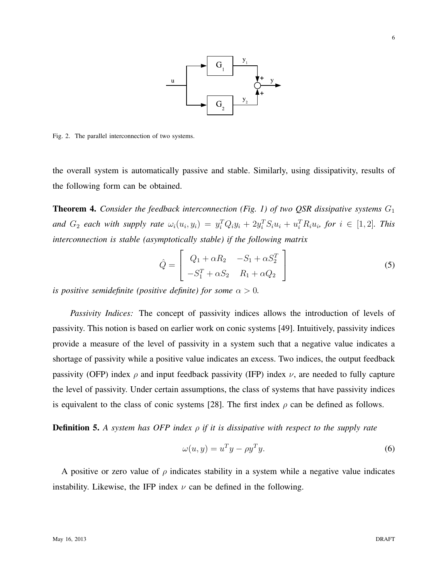

Fig. 2. The parallel interconnection of two systems.

the overall system is automatically passive and stable. Similarly, using dissipativity, results of the following form can be obtained.

**Theorem 4.** *Consider the feedback interconnection (Fig. 1) of two QSR dissipative systems*  $G_1$ and  $G_2$  each with supply rate  $\omega_i(u_i, y_i) = y_i^T Q_i y_i + 2y_i^T S_i u_i + u_i^T R_i u_i$ , for  $i \in [1, 2]$ . This *interconnection is stable (asymptotically stable) if the following matrix*

$$
\hat{Q} = \begin{bmatrix} Q_1 + \alpha R_2 & -S_1 + \alpha S_2^T \\ -S_1^T + \alpha S_2 & R_1 + \alpha Q_2 \end{bmatrix}
$$
\n(5)

*is positive semidefinite (positive definite) for some*  $\alpha > 0$ *.* 

*Passivity Indices:* The concept of passivity indices allows the introduction of levels of passivity. This notion is based on earlier work on conic systems [49]. Intuitively, passivity indices provide a measure of the level of passivity in a system such that a negative value indicates a shortage of passivity while a positive value indicates an excess. Two indices, the output feedback passivity (OFP) index  $\rho$  and input feedback passivity (IFP) index  $\nu$ , are needed to fully capture the level of passivity. Under certain assumptions, the class of systems that have passivity indices is equivalent to the class of conic systems [28]. The first index  $\rho$  can be defined as follows.

Definition 5. *A system has OFP index* ρ *if it is dissipative with respect to the supply rate*

$$
\omega(u, y) = u^T y - \rho y^T y. \tag{6}
$$

A positive or zero value of  $\rho$  indicates stability in a system while a negative value indicates instability. Likewise, the IFP index  $\nu$  can be defined in the following.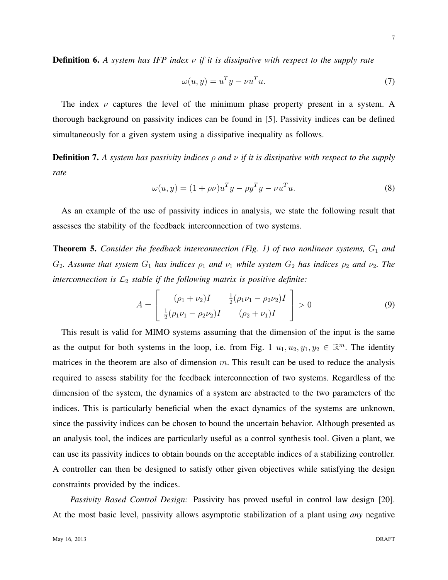7

Definition 6. *A system has IFP index* ν *if it is dissipative with respect to the supply rate*

$$
\omega(u, y) = u^T y - \nu u^T u. \tag{7}
$$

The index  $\nu$  captures the level of the minimum phase property present in a system. A thorough background on passivity indices can be found in [5]. Passivity indices can be defined simultaneously for a given system using a dissipative inequality as follows.

**Definition 7.** A system has passivity indices  $\rho$  and  $\nu$  if it is dissipative with respect to the supply *rate*

$$
\omega(u, y) = (1 + \rho \nu)u^T y - \rho y^T y - \nu u^T u. \tag{8}
$$

As an example of the use of passivity indices in analysis, we state the following result that assesses the stability of the feedback interconnection of two systems.

**Theorem 5.** *Consider the feedback interconnection (Fig. 1) of two nonlinear systems, G<sub>1</sub> and*  $G_2$ *. Assume that system*  $G_1$  *has indices*  $\rho_1$  *and*  $\nu_1$  *while system*  $G_2$  *has indices*  $\rho_2$  *and*  $\nu_2$ *. The interconnection is*  $\mathcal{L}_2$  *stable if the following matrix is positive definite:* 

$$
A = \begin{bmatrix} (\rho_1 + \nu_2)I & \frac{1}{2}(\rho_1\nu_1 - \rho_2\nu_2)I \\ \frac{1}{2}(\rho_1\nu_1 - \rho_2\nu_2)I & (\rho_2 + \nu_1)I \end{bmatrix} > 0
$$
 (9)

This result is valid for MIMO systems assuming that the dimension of the input is the same as the output for both systems in the loop, i.e. from Fig. 1  $u_1, u_2, y_1, y_2 \in \mathbb{R}^m$ . The identity matrices in the theorem are also of dimension  $m$ . This result can be used to reduce the analysis required to assess stability for the feedback interconnection of two systems. Regardless of the dimension of the system, the dynamics of a system are abstracted to the two parameters of the indices. This is particularly beneficial when the exact dynamics of the systems are unknown, since the passivity indices can be chosen to bound the uncertain behavior. Although presented as an analysis tool, the indices are particularly useful as a control synthesis tool. Given a plant, we can use its passivity indices to obtain bounds on the acceptable indices of a stabilizing controller. A controller can then be designed to satisfy other given objectives while satisfying the design constraints provided by the indices.

*Passivity Based Control Design:* Passivity has proved useful in control law design [20]. At the most basic level, passivity allows asymptotic stabilization of a plant using *any* negative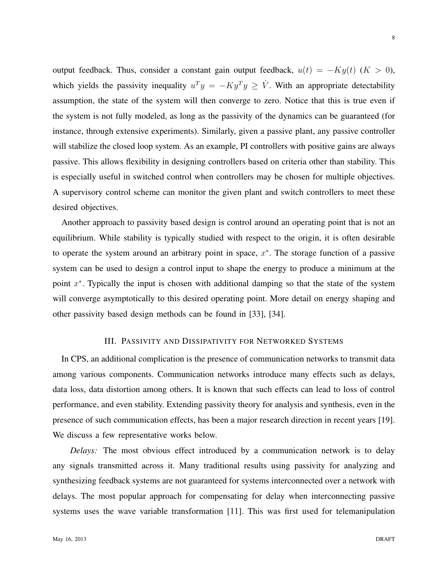output feedback. Thus, consider a constant gain output feedback,  $u(t) = -Ky(t)$  ( $K > 0$ ), which yields the passivity inequality  $u^T y = -K y^T y \geq \dot{V}$ . With an appropriate detectability assumption, the state of the system will then converge to zero. Notice that this is true even if the system is not fully modeled, as long as the passivity of the dynamics can be guaranteed (for instance, through extensive experiments). Similarly, given a passive plant, any passive controller will stabilize the closed loop system. As an example, PI controllers with positive gains are always passive. This allows flexibility in designing controllers based on criteria other than stability. This is especially useful in switched control when controllers may be chosen for multiple objectives. A supervisory control scheme can monitor the given plant and switch controllers to meet these desired objectives.

Another approach to passivity based design is control around an operating point that is not an equilibrium. While stability is typically studied with respect to the origin, it is often desirable to operate the system around an arbitrary point in space,  $x^*$ . The storage function of a passive system can be used to design a control input to shape the energy to produce a minimum at the point  $x^*$ . Typically the input is chosen with additional damping so that the state of the system will converge asymptotically to this desired operating point. More detail on energy shaping and other passivity based design methods can be found in [33], [34].

## III. PASSIVITY AND DISSIPATIVITY FOR NETWORKED SYSTEMS

In CPS, an additional complication is the presence of communication networks to transmit data among various components. Communication networks introduce many effects such as delays, data loss, data distortion among others. It is known that such effects can lead to loss of control performance, and even stability. Extending passivity theory for analysis and synthesis, even in the presence of such communication effects, has been a major research direction in recent years [19]. We discuss a few representative works below.

*Delays:* The most obvious effect introduced by a communication network is to delay any signals transmitted across it. Many traditional results using passivity for analyzing and synthesizing feedback systems are not guaranteed for systems interconnected over a network with delays. The most popular approach for compensating for delay when interconnecting passive systems uses the wave variable transformation [11]. This was first used for telemanipulation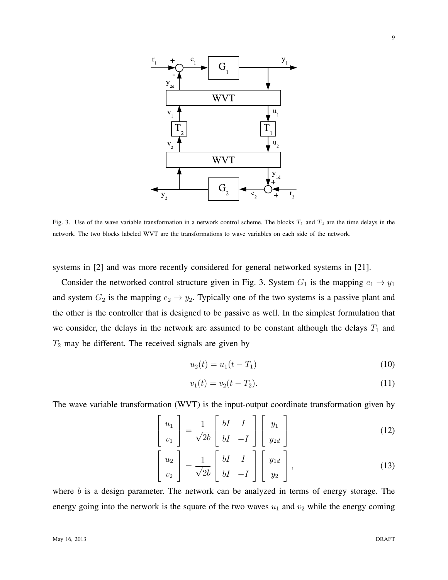

Fig. 3. Use of the wave variable transformation in a network control scheme. The blocks  $T_1$  and  $T_2$  are the time delays in the network. The two blocks labeled WVT are the transformations to wave variables on each side of the network.

systems in [2] and was more recently considered for general networked systems in [21].

Consider the networked control structure given in Fig. 3. System  $G_1$  is the mapping  $e_1 \rightarrow y_1$ and system  $G_2$  is the mapping  $e_2 \rightarrow y_2$ . Typically one of the two systems is a passive plant and the other is the controller that is designed to be passive as well. In the simplest formulation that we consider, the delays in the network are assumed to be constant although the delays  $T_1$  and  $T_2$  may be different. The received signals are given by

$$
u_2(t) = u_1(t - T_1)
$$
 (10)

$$
v_1(t) = v_2(t - T_2). \tag{11}
$$

The wave variable transformation (WVT) is the input-output coordinate transformation given by

$$
\begin{bmatrix} u_1 \\ v_1 \end{bmatrix} = \frac{1}{\sqrt{2b}} \begin{bmatrix} bI & I \\ bI & -I \end{bmatrix} \begin{bmatrix} y_1 \\ y_{2d} \end{bmatrix}
$$
 (12)

$$
\begin{bmatrix} u_2 \\ v_2 \end{bmatrix} = \frac{1}{\sqrt{2b}} \begin{bmatrix} bI & I \\ bI & -I \end{bmatrix} \begin{bmatrix} y_{1d} \\ y_2 \end{bmatrix},
$$
\n(13)

where  $b$  is a design parameter. The network can be analyzed in terms of energy storage. The energy going into the network is the square of the two waves  $u_1$  and  $v_2$  while the energy coming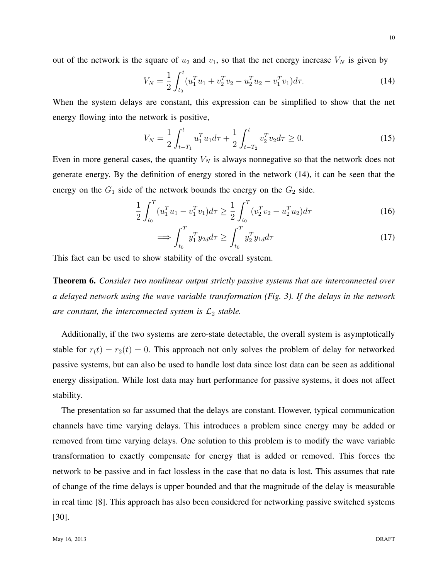out of the network is the square of  $u_2$  and  $v_1$ , so that the net energy increase  $V_N$  is given by

$$
V_N = \frac{1}{2} \int_{t_0}^t (u_1^T u_1 + v_2^T v_2 - u_2^T u_2 - v_1^T v_1) d\tau.
$$
 (14)

When the system delays are constant, this expression can be simplified to show that the net energy flowing into the network is positive,

$$
V_N = \frac{1}{2} \int_{t-T_1}^t u_1^T u_1 d\tau + \frac{1}{2} \int_{t-T_2}^t v_2^T v_2 d\tau \ge 0.
$$
 (15)

Even in more general cases, the quantity  $V_N$  is always nonnegative so that the network does not generate energy. By the definition of energy stored in the network (14), it can be seen that the energy on the  $G_1$  side of the network bounds the energy on the  $G_2$  side.

$$
\frac{1}{2} \int_{t_0}^{T} (u_1^T u_1 - v_1^T v_1) d\tau \ge \frac{1}{2} \int_{t_0}^{T} (v_2^T v_2 - u_2^T u_2) d\tau \tag{16}
$$

$$
\implies \int_{t_0}^T y_1^T y_{2d} d\tau \ge \int_{t_0}^T y_2^T y_{1d} d\tau \tag{17}
$$

This fact can be used to show stability of the overall system.

Theorem 6. *Consider two nonlinear output strictly passive systems that are interconnected over a delayed network using the wave variable transformation (Fig. 3). If the delays in the network are constant, the interconnected system is*  $\mathcal{L}_2$  *stable.* 

Additionally, if the two systems are zero-state detectable, the overall system is asymptotically stable for  $r(t) = r_2(t) = 0$ . This approach not only solves the problem of delay for networked passive systems, but can also be used to handle lost data since lost data can be seen as additional energy dissipation. While lost data may hurt performance for passive systems, it does not affect stability.

The presentation so far assumed that the delays are constant. However, typical communication channels have time varying delays. This introduces a problem since energy may be added or removed from time varying delays. One solution to this problem is to modify the wave variable transformation to exactly compensate for energy that is added or removed. This forces the network to be passive and in fact lossless in the case that no data is lost. This assumes that rate of change of the time delays is upper bounded and that the magnitude of the delay is measurable in real time [8]. This approach has also been considered for networking passive switched systems [30].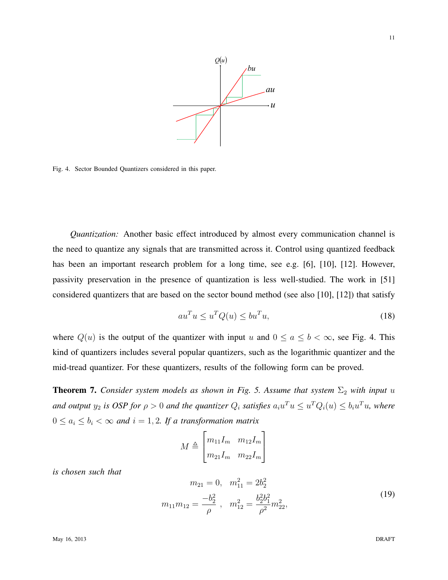

Fig. 4. Sector Bounded Quantizers considered in this paper.

*Quantization:* Another basic effect introduced by almost every communication channel is the need to quantize any signals that are transmitted across it. Control using quantized feedback has been an important research problem for a long time, see e.g. [6], [10], [12]. However, passivity preservation in the presence of quantization is less well-studied. The work in [51] considered quantizers that are based on the sector bound method (see also [10], [12]) that satisfy

$$
au^T u \le u^T Q(u) \le bu^T u,\tag{18}
$$

where  $Q(u)$  is the output of the quantizer with input u and  $0 \le a \le b < \infty$ , see Fig. 4. This kind of quantizers includes several popular quantizers, such as the logarithmic quantizer and the mid-tread quantizer. For these quantizers, results of the following form can be proved.

**Theorem 7.** *Consider system models as shown in Fig. 5. Assume that system*  $\Sigma_2$  *with input u and output*  $y_2$  *is OSP for*  $\rho > 0$  *and the quantizer*  $Q_i$  *satisfies*  $a_i u^T u \le u^T Q_i(u) \le b_i u^T u$ *, where*  $0 \le a_i \le b_i < \infty$  and  $i = 1, 2$ . If a transformation matrix

$$
M \triangleq \begin{bmatrix} m_{11}I_m & m_{12}I_m \\ m_{21}I_m & m_{22}I_m \end{bmatrix}
$$

*is chosen such that*

$$
m_{21} = 0, \quad m_{11}^2 = 2b_2^2
$$
  

$$
m_{11}m_{12} = \frac{-b_2^2}{\rho}, \quad m_{12}^2 = \frac{b_2^2b_1^2}{\rho^2}m_{22}^2,
$$
 (19)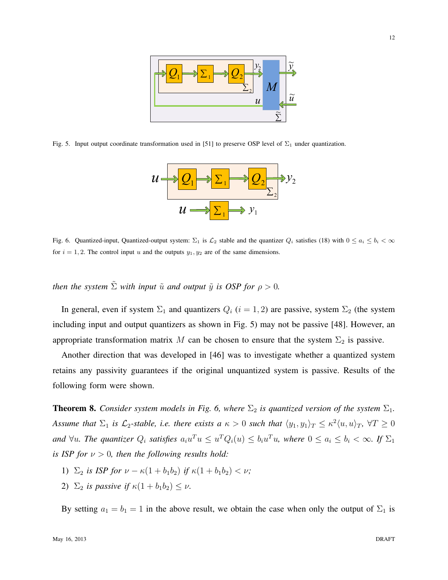

Fig. 5. Input output coordinate transformation used in [51] to preserve OSP level of  $\Sigma_1$  under quantization.



Fig. 6. Quantized-input, Quantized-output system:  $\Sigma_1$  is  $\mathcal{L}_2$  stable and the quantizer  $Q_i$  satisfies (18) with  $0 \le a_i \le b_i < \infty$ for  $i = 1, 2$ . The control input u and the outputs  $y_1, y_2$  are of the same dimensions.

*then the system*  $\tilde{\Sigma}$  *with input*  $\tilde{u}$  *and output*  $\tilde{y}$  *is OSP for*  $\rho > 0$ *.* 

In general, even if system  $\Sigma_1$  and quantizers  $Q_i$  (i = 1, 2) are passive, system  $\Sigma_2$  (the system including input and output quantizers as shown in Fig. 5) may not be passive [48]. However, an appropriate transformation matrix M can be chosen to ensure that the system  $\Sigma_2$  is passive.

Another direction that was developed in [46] was to investigate whether a quantized system retains any passivity guarantees if the original unquantized system is passive. Results of the following form were shown.

**Theorem 8.** *Consider system models in Fig. 6, where*  $\Sigma_2$  *is quantized version of the system*  $\Sigma_1$ *. Assume that*  $\Sigma_1$  *is*  $\mathcal{L}_2$ *-stable, i.e. there exists a*  $\kappa > 0$  *such that*  $\langle y_1, y_1 \rangle_T \leq \kappa^2 \langle u, u \rangle_T$ ,  $\forall T \geq 0$ *and*  $\forall u$ *. The quantizer*  $Q_i$  *satisfies*  $a_i u^T u \le u^T Q_i(u) \le b_i u^T u$ *, where*  $0 \le a_i \le b_i < \infty$ *. If*  $\Sigma_1$ *is ISP for*  $\nu > 0$ *, then the following results hold:* 

- 1)  $\Sigma_2$  *is ISP for*  $\nu \kappa(1 + b_1b_2)$  *if*  $\kappa(1 + b_1b_2) < \nu$ ;
- 2)  $\Sigma_2$  *is passive if*  $\kappa(1+b_1b_2) \leq \nu$ .

By setting  $a_1 = b_1 = 1$  in the above result, we obtain the case when only the output of  $\Sigma_1$  is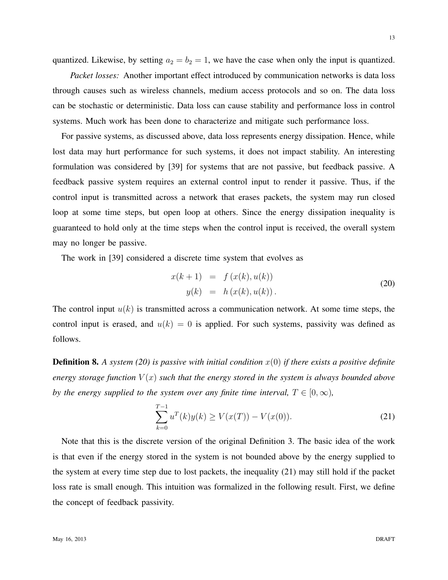13

quantized. Likewise, by setting  $a_2 = b_2 = 1$ , we have the case when only the input is quantized.

*Packet losses:* Another important effect introduced by communication networks is data loss through causes such as wireless channels, medium access protocols and so on. The data loss can be stochastic or deterministic. Data loss can cause stability and performance loss in control systems. Much work has been done to characterize and mitigate such performance loss.

For passive systems, as discussed above, data loss represents energy dissipation. Hence, while lost data may hurt performance for such systems, it does not impact stability. An interesting formulation was considered by [39] for systems that are not passive, but feedback passive. A feedback passive system requires an external control input to render it passive. Thus, if the control input is transmitted across a network that erases packets, the system may run closed loop at some time steps, but open loop at others. Since the energy dissipation inequality is guaranteed to hold only at the time steps when the control input is received, the overall system may no longer be passive.

The work in [39] considered a discrete time system that evolves as

$$
x(k+1) = f(x(k), u(k))
$$
  
\n
$$
y(k) = h(x(k), u(k)).
$$
\n(20)

The control input  $u(k)$  is transmitted across a communication network. At some time steps, the control input is erased, and  $u(k)=0$  is applied. For such systems, passivity was defined as follows.

**Definition 8.** A system (20) is passive with initial condition  $x(0)$  if there exists a positive definite *energy storage function*  $V(x)$  *such that the energy stored in the system is always bounded above by the energy supplied to the system over any finite time interval,*  $T \in [0, \infty)$ *,* 

$$
\sum_{k=0}^{T-1} u^T(k)y(k) \ge V(x(T)) - V(x(0)).
$$
\n(21)

Note that this is the discrete version of the original Definition 3. The basic idea of the work is that even if the energy stored in the system is not bounded above by the energy supplied to the system at every time step due to lost packets, the inequality (21) may still hold if the packet loss rate is small enough. This intuition was formalized in the following result. First, we define the concept of feedback passivity.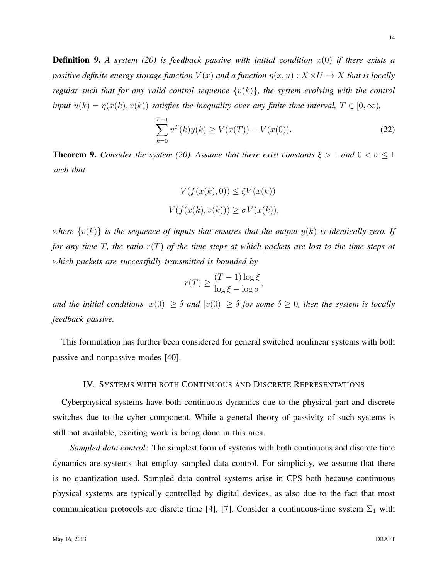Definition 9. *A system (20) is feedback passive with initial condition* x(0) *if there exists a positive definite energy storage function*  $V(x)$  *and a function*  $\eta(x, u) : X \times U \to X$  *that is locally regular such that for any valid control sequence*  $\{v(k)\}\$ *, the system evolving with the control input*  $u(k) = \eta(x(k), v(k))$  *satisfies the inequality over any finite time interval,*  $T \in [0, \infty)$ *,* 

$$
\sum_{k=0}^{T-1} v^T(k)y(k) \ge V(x(T)) - V(x(0)).
$$
\n(22)

**Theorem 9.** *Consider the system (20). Assume that there exist constants*  $\xi > 1$  *and*  $0 < \sigma \le 1$ *such that*

$$
V(f(x(k), 0)) \le \xi V(x(k))
$$
  

$$
V(f(x(k), v(k))) \ge \sigma V(x(k)),
$$

*where*  $\{v(k)\}\$ is the sequence of inputs that ensures that the output  $y(k)$  is identically zero. If *for any time* T*, the ratio* r(T) *of the time steps at which packets are lost to the time steps at which packets are successfully transmitted is bounded by*

$$
r(T) \ge \frac{(T-1)\log \xi}{\log \xi - \log \sigma},
$$

*and the initial conditions*  $|x(0)| \ge \delta$  *and*  $|v(0)| \ge \delta$  *for some*  $\delta \ge 0$ *, then the system is locally feedback passive.*

This formulation has further been considered for general switched nonlinear systems with both passive and nonpassive modes [40].

#### IV. SYSTEMS WITH BOTH CONTINUOUS AND DISCRETE REPRESENTATIONS

Cyberphysical systems have both continuous dynamics due to the physical part and discrete switches due to the cyber component. While a general theory of passivity of such systems is still not available, exciting work is being done in this area.

*Sampled data control:* The simplest form of systems with both continuous and discrete time dynamics are systems that employ sampled data control. For simplicity, we assume that there is no quantization used. Sampled data control systems arise in CPS both because continuous physical systems are typically controlled by digital devices, as also due to the fact that most communication protocols are disrete time [4], [7]. Consider a continuous-time system  $\Sigma_1$  with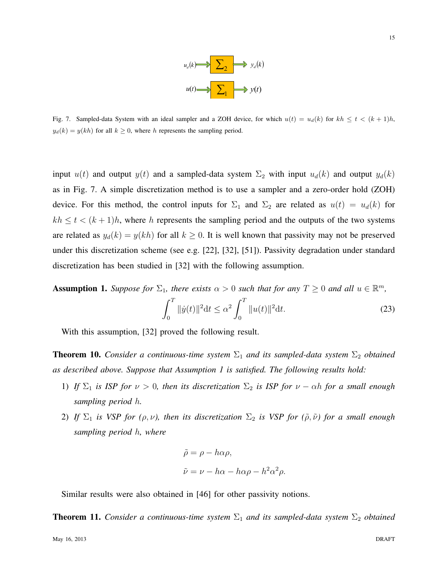

Fig. 7. Sampled-data System with an ideal sampler and a ZOH device, for which  $u(t) = u_d(k)$  for  $kh \le t < (k+1)h$ ,  $y_d(k) = y(kh)$  for all  $k \ge 0$ , where h represents the sampling period.

input  $u(t)$  and output  $y(t)$  and a sampled-data system  $\Sigma_2$  with input  $u_d(k)$  and output  $y_d(k)$ as in Fig. 7. A simple discretization method is to use a sampler and a zero-order hold (ZOH) device. For this method, the control inputs for  $\Sigma_1$  and  $\Sigma_2$  are related as  $u(t) = u_d(k)$  for  $kh \le t < (k+1)h$ , where h represents the sampling period and the outputs of the two systems are related as  $y_d(k) = y(kh)$  for all  $k \ge 0$ . It is well known that passivity may not be preserved under this discretization scheme (see e.g. [22], [32], [51]). Passivity degradation under standard discretization has been studied in [32] with the following assumption.

**Assumption 1.** *Suppose for*  $\Sigma_1$ *, there exists*  $\alpha > 0$  *such that for any*  $T \geq 0$  *and all*  $u \in \mathbb{R}^m$ *,* 

$$
\int_0^T \|\dot{y}(t)\|^2 dt \le \alpha^2 \int_0^T \|u(t)\|^2 dt. \tag{23}
$$

With this assumption, [32] proved the following result.

**Theorem 10.** *Consider a continuous-time system*  $\Sigma_1$  *and its sampled-data system*  $\Sigma_2$  *obtained as described above. Suppose that Assumption 1 is satisfied. The following results hold:*

- 1) *If*  $\Sigma_1$  *is ISP for*  $\nu > 0$ *, then its discretization*  $\Sigma_2$  *is ISP for*  $\nu \alpha h$  *for a small enough sampling period* h*.*
- 2) *If*  $\Sigma_1$  *is VSP for (* $\rho, \nu$ *), then its discretization*  $\Sigma_2$  *is VSP for (* $\tilde{\rho}, \tilde{\nu}$ *) for a small enough sampling period* h*, where*

$$
\tilde{\rho} = \rho - h\alpha\rho,
$$
  

$$
\tilde{\nu} = \nu - h\alpha - h\alpha\rho - h^2\alpha^2\rho.
$$

Similar results were also obtained in [46] for other passivity notions.

**Theorem 11.** *Consider a continuous-time system*  $\Sigma_1$  *and its sampled-data system*  $\Sigma_2$  *obtained*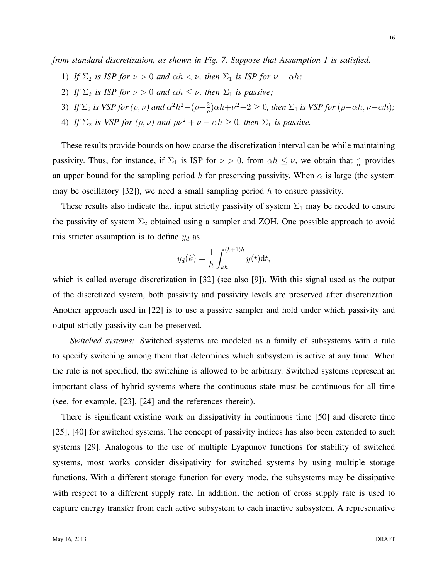*from standard discretization, as shown in Fig. 7. Suppose that Assumption 1 is satisfied.*

- 1) *If*  $\Sigma_2$  *is ISP for*  $\nu > 0$  *and*  $\alpha h < \nu$ , *then*  $\Sigma_1$  *is ISP for*  $\nu \alpha h$ ;
- 2) *If*  $\Sigma_2$  *is ISP for*  $\nu > 0$  *and*  $\alpha h \le \nu$ *, then*  $\Sigma_1$  *is passive;*
- 3) *If*  $\Sigma_2$  *is VSP for*  $(\rho, \nu)$  and  $\alpha^2 h^2 (\rho \frac{2}{\rho}) \alpha h + \nu^2 2 \ge 0$ , then  $\Sigma_1$  *is VSP for*  $(\rho \alpha h, \nu \alpha h)$ ;
- 4) *If*  $\Sigma_2$  *is VSP for*  $(\rho, \nu)$  *and*  $\rho \nu^2 + \nu \alpha h \ge 0$ *, then*  $\Sigma_1$  *is passive.*

These results provide bounds on how coarse the discretization interval can be while maintaining passivity. Thus, for instance, if  $\Sigma_1$  is ISP for  $\nu > 0$ , from  $\alpha h \le \nu$ , we obtain that  $\frac{\nu}{\alpha}$  provides an upper bound for the sampling period h for preserving passivity. When  $\alpha$  is large (the system may be oscillatory [32]), we need a small sampling period  $h$  to ensure passivity.

These results also indicate that input strictly passivity of system  $\Sigma_1$  may be needed to ensure the passivity of system  $\Sigma_2$  obtained using a sampler and ZOH. One possible approach to avoid this stricter assumption is to define  $y_d$  as

$$
y_d(k) = \frac{1}{h} \int_{kh}^{(k+1)h} y(t) \mathrm{d}t,
$$

which is called average discretization in [32] (see also [9]). With this signal used as the output of the discretized system, both passivity and passivity levels are preserved after discretization. Another approach used in [22] is to use a passive sampler and hold under which passivity and output strictly passivity can be preserved.

*Switched systems:* Switched systems are modeled as a family of subsystems with a rule to specify switching among them that determines which subsystem is active at any time. When the rule is not specified, the switching is allowed to be arbitrary. Switched systems represent an important class of hybrid systems where the continuous state must be continuous for all time (see, for example, [23], [24] and the references therein).

There is significant existing work on dissipativity in continuous time [50] and discrete time [25], [40] for switched systems. The concept of passivity indices has also been extended to such systems [29]. Analogous to the use of multiple Lyapunov functions for stability of switched systems, most works consider dissipativity for switched systems by using multiple storage functions. With a different storage function for every mode, the subsystems may be dissipative with respect to a different supply rate. In addition, the notion of cross supply rate is used to capture energy transfer from each active subsystem to each inactive subsystem. A representative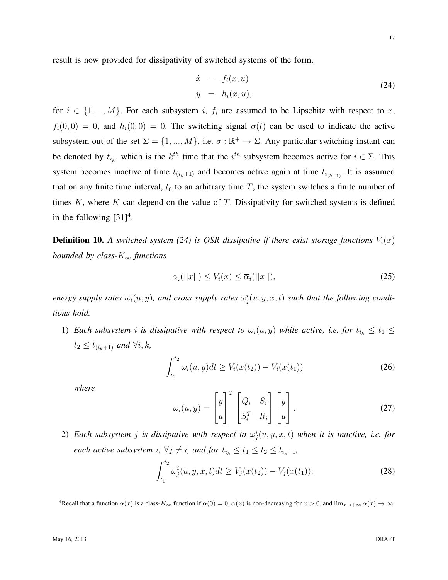result is now provided for dissipativity of switched systems of the form,

$$
\dot{x} = f_i(x, u) \n y = h_i(x, u),
$$
\n(24)

for  $i \in \{1, ..., M\}$ . For each subsystem i,  $f_i$  are assumed to be Lipschitz with respect to x,  $f_i(0,0) = 0$ , and  $h_i(0,0) = 0$ . The switching signal  $\sigma(t)$  can be used to indicate the active subsystem out of the set  $\Sigma = \{1, ..., M\}$ , i.e.  $\sigma : \mathbb{R}^+ \to \Sigma$ . Any particular switching instant can be denoted by  $t_{i_k}$ , which is the  $k^{th}$  time that the  $i^{th}$  subsystem becomes active for  $i \in \Sigma$ . This system becomes inactive at time  $t_{(i_k+1)}$  and becomes active again at time  $t_{i_{(k+1)}}$ . It is assumed that on any finite time interval,  $t_0$  to an arbitrary time T, the system switches a finite number of times K, where K can depend on the value of T. Dissipativity for switched systems is defined in the following  $[31]^4$ .

**Definition 10.** A switched system (24) is QSR dissipative if there exist storage functions  $V_i(x)$ *bounded by class-*K<sup>∞</sup> *functions*

$$
\underline{\alpha}_i(||x||) \le V_i(x) \le \overline{\alpha}_i(||x||),\tag{25}
$$

*energy supply rates*  $\omega_i(u, y)$ , and cross supply rates  $\omega_j^i(u, y, x, t)$  such that the following condi*tions hold.*

1) *Each subsystem i is dissipative with respect to*  $\omega_i(u, y)$  *while active, i.e. for*  $t_{i_k} \leq t_1 \leq$  $t_2 \le t_{(i_k+1)}$  *and*  $\forall i, k$ ,

$$
\int_{t_1}^{t_2} \omega_i(u, y) dt \ge V_i(x(t_2)) - V_i(x(t_1))
$$
\n(26)

*where*

$$
\omega_i(u, y) = \begin{bmatrix} y \\ u \end{bmatrix}^T \begin{bmatrix} Q_i & S_i \\ S_i^T & R_i \end{bmatrix} \begin{bmatrix} y \\ u \end{bmatrix} . \tag{27}
$$

2) Each subsystem  $j$  is dissipative with respect to  $\omega_j^i(u, y, x, t)$  when it is inactive, i.e. for *each active subsystem i*,  $\forall j \neq i$ *, and for*  $t_{i_k} \leq t_1 \leq t_2 \leq t_{i_k+1}$ *,* 

$$
\int_{t_1}^{t_2} \omega_j^i(u, y, x, t) dt \ge V_j(x(t_2)) - V_j(x(t_1)).
$$
\n(28)

<sup>4</sup>Recall that a function  $\alpha(x)$  is a class- $K_{\infty}$  function if  $\alpha(0) = 0$ ,  $\alpha(x)$  is non-decreasing for  $x > 0$ , and  $\lim_{x \to +\infty} \alpha(x) \to \infty$ .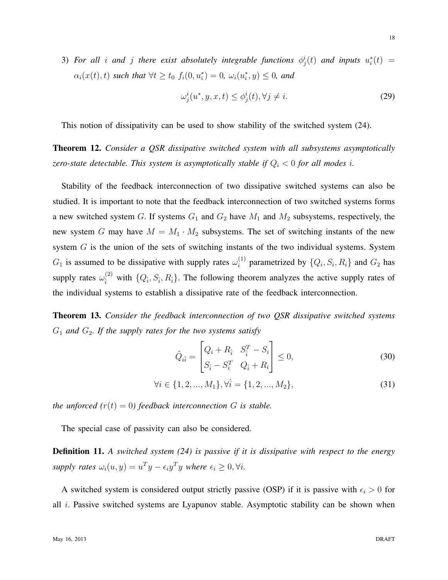3) For all i and j there exist absolutely integrable functions  $\phi_j^i(t)$  and inputs  $u_i^*(t)$  =  $\alpha_i(x(t), t)$  *such that*  $\forall t \ge t_0$   $f_i(0, u_i^*) = 0$ ,  $\omega_i(u_i^*, y) \le 0$ , and

$$
\omega_j^i(u^*, y, x, t) \le \phi_j^i(t), \forall j \ne i. \tag{29}
$$

This notion of dissipativity can be used to show stability of the switched system (24).

Theorem 12. *Consider a QSR dissipative switched system with all subsystems asymptotically zero-state detectable. This system is asymptotically stable if*  $Q_i < 0$  *for all modes i.* 

Stability of the feedback interconnection of two dissipative switched systems can also be studied. It is important to note that the feedback interconnection of two switched systems forms a new switched system G. If systems  $G_1$  and  $G_2$  have  $M_1$  and  $M_2$  subsystems, respectively, the new system G may have  $M = M_1 \cdot M_2$  subsystems. The set of switching instants of the new system G is the union of the sets of switching instants of the two individual systems. System  $G_1$  is assumed to be dissipative with supply rates  $\omega_i^{(1)}$  parametrized by  $\{Q_i, S_i, R_i\}$  and  $G_2$  has supply rates  $\omega_i^{(2)}$  with  $\{Q_i, S_i, R_i\}$ . The following theorem analyzes the active supply rates of the individual systems to establish a dissipative rate of the feedback interconnection.

Theorem 13. *Consider the feedback interconnection of two QSR dissipative switched systems*  $G_1$  *and*  $G_2$ *. If the supply rates for the two systems satisfy* 

$$
\hat{Q}_{i\hat{i}} = \begin{bmatrix} Q_i + R_{\hat{i}} & S_{\hat{i}}^T - S_i \\ S_{\hat{i}} - S_{\hat{i}}^T & Q_{\hat{i}} + R_i \end{bmatrix} \le 0,
$$
\n(30)

$$
\forall i \in \{1, 2, ..., M_1\}, \forall \hat{i} = \{1, 2, ..., M_2\},\tag{31}
$$

*the unforced*  $(r(t)=0)$  *feedback interconnection G is stable.* 

The special case of passivity can also be considered.

Definition 11. *A switched system (24) is passive if it is dissipative with respect to the energy supply rates*  $\omega_i(u, y) = u^T y - \epsilon_i y^T y$  *where*  $\epsilon_i \geq 0, \forall i$ .

A switched system is considered output strictly passive (OSP) if it is passive with  $\epsilon_i > 0$  for all i. Passive switched systems are Lyapunov stable. Asymptotic stability can be shown when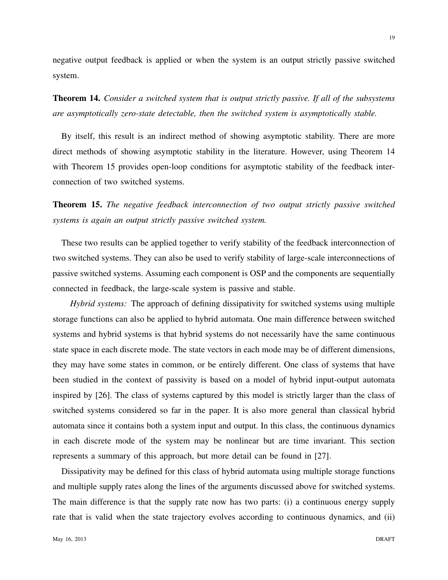negative output feedback is applied or when the system is an output strictly passive switched system.

Theorem 14. *Consider a switched system that is output strictly passive. If all of the subsystems are asymptotically zero-state detectable, then the switched system is asymptotically stable.*

By itself, this result is an indirect method of showing asymptotic stability. There are more direct methods of showing asymptotic stability in the literature. However, using Theorem 14 with Theorem 15 provides open-loop conditions for asymptotic stability of the feedback interconnection of two switched systems.

Theorem 15. *The negative feedback interconnection of two output strictly passive switched systems is again an output strictly passive switched system.*

These two results can be applied together to verify stability of the feedback interconnection of two switched systems. They can also be used to verify stability of large-scale interconnections of passive switched systems. Assuming each component is OSP and the components are sequentially connected in feedback, the large-scale system is passive and stable.

*Hybrid systems:* The approach of defining dissipativity for switched systems using multiple storage functions can also be applied to hybrid automata. One main difference between switched systems and hybrid systems is that hybrid systems do not necessarily have the same continuous state space in each discrete mode. The state vectors in each mode may be of different dimensions, they may have some states in common, or be entirely different. One class of systems that have been studied in the context of passivity is based on a model of hybrid input-output automata inspired by [26]. The class of systems captured by this model is strictly larger than the class of switched systems considered so far in the paper. It is also more general than classical hybrid automata since it contains both a system input and output. In this class, the continuous dynamics in each discrete mode of the system may be nonlinear but are time invariant. This section represents a summary of this approach, but more detail can be found in [27].

Dissipativity may be defined for this class of hybrid automata using multiple storage functions and multiple supply rates along the lines of the arguments discussed above for switched systems. The main difference is that the supply rate now has two parts: (i) a continuous energy supply rate that is valid when the state trajectory evolves according to continuous dynamics, and (ii)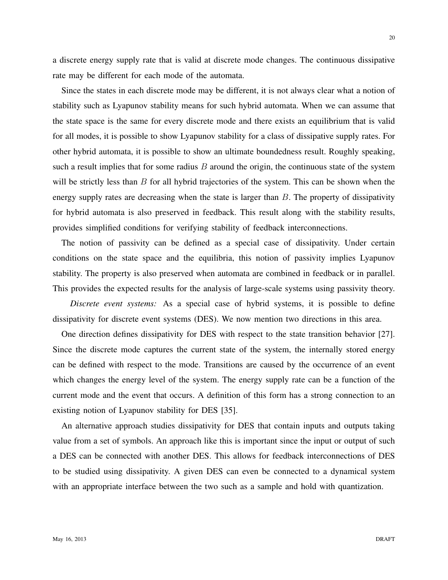a discrete energy supply rate that is valid at discrete mode changes. The continuous dissipative rate may be different for each mode of the automata.

Since the states in each discrete mode may be different, it is not always clear what a notion of stability such as Lyapunov stability means for such hybrid automata. When we can assume that the state space is the same for every discrete mode and there exists an equilibrium that is valid for all modes, it is possible to show Lyapunov stability for a class of dissipative supply rates. For other hybrid automata, it is possible to show an ultimate boundedness result. Roughly speaking, such a result implies that for some radius  $B$  around the origin, the continuous state of the system will be strictly less than  $B$  for all hybrid trajectories of the system. This can be shown when the energy supply rates are decreasing when the state is larger than  $B$ . The property of dissipativity for hybrid automata is also preserved in feedback. This result along with the stability results, provides simplified conditions for verifying stability of feedback interconnections.

The notion of passivity can be defined as a special case of dissipativity. Under certain conditions on the state space and the equilibria, this notion of passivity implies Lyapunov stability. The property is also preserved when automata are combined in feedback or in parallel. This provides the expected results for the analysis of large-scale systems using passivity theory.

*Discrete event systems:* As a special case of hybrid systems, it is possible to define dissipativity for discrete event systems (DES). We now mention two directions in this area.

One direction defines dissipativity for DES with respect to the state transition behavior [27]. Since the discrete mode captures the current state of the system, the internally stored energy can be defined with respect to the mode. Transitions are caused by the occurrence of an event which changes the energy level of the system. The energy supply rate can be a function of the current mode and the event that occurs. A definition of this form has a strong connection to an existing notion of Lyapunov stability for DES [35].

An alternative approach studies dissipativity for DES that contain inputs and outputs taking value from a set of symbols. An approach like this is important since the input or output of such a DES can be connected with another DES. This allows for feedback interconnections of DES to be studied using dissipativity. A given DES can even be connected to a dynamical system with an appropriate interface between the two such as a sample and hold with quantization.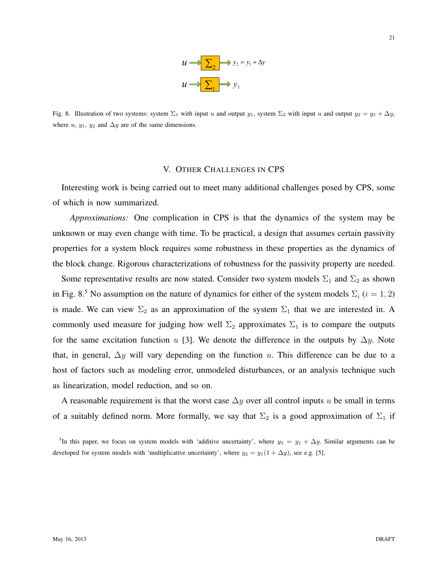

Fig. 8. Illustration of two systems: system  $\Sigma_1$  with input u and output  $y_1$ , system  $\Sigma_2$  with input u and output  $y_2 = y_1 + \Delta y$ , where  $u, y_1, y_2$  and  $\Delta y$  are of the same dimensions.

## V. OTHER CHALLENGES IN CPS

Interesting work is being carried out to meet many additional challenges posed by CPS, some of which is now summarized.

*Approximations:* One complication in CPS is that the dynamics of the system may be unknown or may even change with time. To be practical, a design that assumes certain passivity properties for a system block requires some robustness in these properties as the dynamics of the block change. Rigorous characterizations of robustness for the passivity property are needed.

Some representative results are now stated. Consider two system models  $\Sigma_1$  and  $\Sigma_2$  as shown in Fig. 8.<sup>5</sup> No assumption on the nature of dynamics for either of the system models  $\Sigma_i$  ( $i = 1, 2$ ) is made. We can view  $\Sigma_2$  as an approximation of the system  $\Sigma_1$  that we are interested in. A commonly used measure for judging how well  $\Sigma_2$  approximates  $\Sigma_1$  is to compare the outputs for the same excitation function u [3]. We denote the difference in the outputs by  $\Delta y$ . Note that, in general,  $\Delta y$  will vary depending on the function u. This difference can be due to a host of factors such as modeling error, unmodeled disturbances, or an analysis technique such as linearization, model reduction, and so on.

A reasonable requirement is that the worst case  $\Delta y$  over all control inputs u be small in terms of a suitably defined norm. More formally, we say that  $\Sigma_2$  is a good approximation of  $\Sigma_1$  if

<sup>&</sup>lt;sup>5</sup>In this paper, we focus on system models with 'additive uncertainty', where  $y_2 = y_1 + \Delta y$ . Similar arguments can be developed for system models with 'multiplicative uncertainty', where  $y_2 = y_1(1 + \Delta y)$ , see e.g. [5].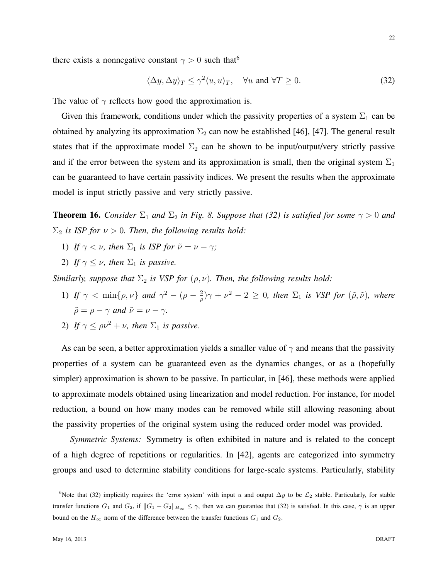there exists a nonnegative constant  $\gamma > 0$  such that<sup>6</sup>

$$
\langle \Delta y, \Delta y \rangle_T \le \gamma^2 \langle u, u \rangle_T, \quad \forall u \text{ and } \forall T \ge 0.
$$
 (32)

The value of  $\gamma$  reflects how good the approximation is.

Given this framework, conditions under which the passivity properties of a system  $\Sigma_1$  can be obtained by analyzing its approximation  $\Sigma_2$  can now be established [46], [47]. The general result states that if the approximate model  $\Sigma_2$  can be shown to be input/output/very strictly passive and if the error between the system and its approximation is small, then the original system  $\Sigma_1$ can be guaranteed to have certain passivity indices. We present the results when the approximate model is input strictly passive and very strictly passive.

**Theorem 16.** *Consider*  $\Sigma_1$  *and*  $\Sigma_2$  *in Fig. 8. Suppose that (32) is satisfied for some*  $\gamma > 0$  *and*  $\Sigma_2$  *is ISP for*  $\nu > 0$ *. Then, the following results hold:* 

- 1) *If*  $\gamma < \nu$ , then  $\Sigma_1$  *is ISP for*  $\tilde{\nu} = \nu \gamma$ ;
- 2) *If*  $\gamma < \nu$ , then  $\Sigma_1$  *is passive.*

*Similarly, suppose that*  $\Sigma_2$  *is VSP for*  $(\rho, \nu)$ *. Then, the following results hold:* 

1) *If*  $\gamma$  < min{ $\rho, \nu$ } *and*  $\gamma^2 - (\rho - \frac{2}{\rho})\gamma + \nu^2 - 2 \ge 0$ *, then*  $\Sigma_1$  *is VSP for*  $(\tilde{\rho}, \tilde{\nu})$ *, where*  $\tilde{\rho} = \rho - \gamma$  *and*  $\tilde{\nu} = \nu - \gamma$ *.* 

2) If 
$$
\gamma \le \rho \nu^2 + \nu
$$
, then  $\Sigma_1$  is passive.

As can be seen, a better approximation yields a smaller value of  $\gamma$  and means that the passivity properties of a system can be guaranteed even as the dynamics changes, or as a (hopefully simpler) approximation is shown to be passive. In particular, in [46], these methods were applied to approximate models obtained using linearization and model reduction. For instance, for model reduction, a bound on how many modes can be removed while still allowing reasoning about the passivity properties of the original system using the reduced order model was provided.

*Symmetric Systems:* Symmetry is often exhibited in nature and is related to the concept of a high degree of repetitions or regularities. In [42], agents are categorized into symmetry groups and used to determine stability conditions for large-scale systems. Particularly, stability

<sup>&</sup>lt;sup>6</sup>Note that (32) implicitly requires the 'error system' with input u and output  $\Delta y$  to be  $\mathcal{L}_2$  stable. Particularly, for stable transfer functions  $G_1$  and  $G_2$ , if  $||G_1 - G_2||_{H_\infty} \le \gamma$ , then we can guarantee that (32) is satisfied. In this case,  $\gamma$  is an upper bound on the  $H_{\infty}$  norm of the difference between the transfer functions  $G_1$  and  $G_2$ .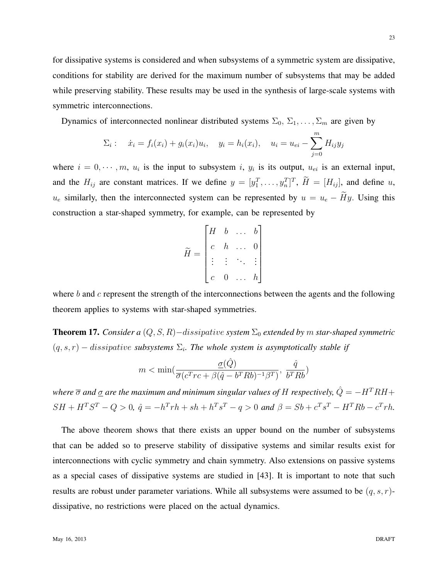for dissipative systems is considered and when subsystems of a symmetric system are dissipative, conditions for stability are derived for the maximum number of subsystems that may be added while preserving stability. These results may be used in the synthesis of large-scale systems with symmetric interconnections.

Dynamics of interconnected nonlinear distributed systems  $\Sigma_0$ ,  $\Sigma_1$ , ...,  $\Sigma_m$  are given by

$$
\Sigma_i: \quad \dot{x}_i = f_i(x_i) + g_i(x_i)u_i, \quad y_i = h_i(x_i), \quad u_i = u_{ei} - \sum_{j=0}^m H_{ij}y_j
$$

where  $i = 0, \dots, m$ ,  $u_i$  is the input to subsystem i,  $y_i$  is its output,  $u_{ei}$  is an external input, and the  $H_{ij}$  are constant matrices. If we define  $y = [y_1^T, \ldots, y_n^T]^T$ ,  $\widetilde{H} = [H_{ij}]$ , and define u,  $u_e$  similarly, then the interconnected system can be represented by  $u = u_e - \tilde{H}y$ . Using this construction a star-shaped symmetry, for example, can be represented by

$$
\widetilde{H} = \begin{bmatrix} H & b & \dots & b \\ c & h & \dots & 0 \\ \vdots & \vdots & \ddots & \vdots \\ c & 0 & \dots & h \end{bmatrix}
$$

where  $b$  and  $c$  represent the strength of the interconnections between the agents and the following theorem applies to systems with star-shaped symmetries.

Theorem 17. *Consider a* (Q, S, R)−dissipative *system* Σ<sup>0</sup> *extended by* m *star-shaped symmetric*  $(q, s, r) - dissipative$  *subsystems*  $\Sigma_i$ *. The whole system is asymptotically stable if* 

$$
m < \min\left(\frac{\underline{\sigma}(\hat{Q})}{\overline{\sigma}(c^Trc + \beta(\hat{q} - b^T R b)^{-1}\beta^T)}, \frac{\hat{q}}{b^T R b}\right)
$$

*where*  $\overline{\sigma}$  *and*  $\underline{\sigma}$  *are the maximum and minimum singular values of* H *respectively*,  $\hat{Q} = -H^T R H +$  $SH + H^{T}S^{T} - Q > 0$ ,  $\hat{q} = -h^{T}rh + sh + h^{T}s^{T} - q > 0$  and  $\beta = Sb + c^{T}s^{T} - H^{T}Rb - c^{T}rh$ .

The above theorem shows that there exists an upper bound on the number of subsystems that can be added so to preserve stability of dissipative systems and similar results exist for interconnections with cyclic symmetry and chain symmetry. Also extensions on passive systems as a special cases of dissipative systems are studied in [43]. It is important to note that such results are robust under parameter variations. While all subsystems were assumed to be  $(q, s, r)$ dissipative, no restrictions were placed on the actual dynamics.

23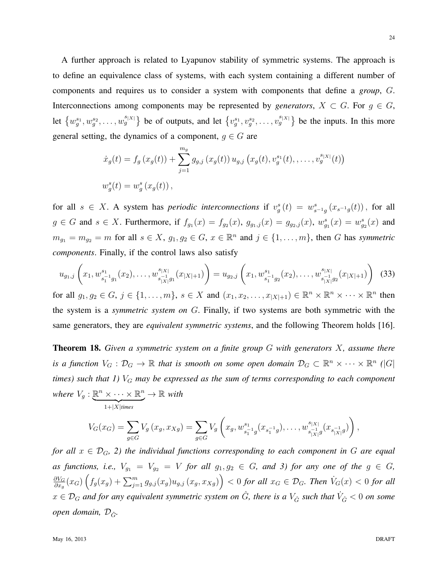A further approach is related to Lyapunov stability of symmetric systems. The approach is to define an equivalence class of systems, with each system containing a different number of components and requires us to consider a system with components that define a *group*, G. Interconnections among components may be represented by *generators*,  $X \subset G$ . For  $g \in G$ , let  $\{w_g^{s_1}, w_g^{s_2}, \ldots, w_g^{s_{|X|}}\}$  be of outputs, and let  $\{v_g^{s_1}, v_g^{s_2}, \ldots, v_g^{s_{|X|}}\}$  be the inputs. In this more general setting, the dynamics of a component,  $g \in G$  are

$$
\dot{x}_g(t) = f_g(x_g(t)) + \sum_{j=1}^{m_g} g_{g,j}(x_g(t)) u_{g,j}(x_g(t), v_g^{s_1}(t), \dots, v_g^{s_{|X|}}(t))
$$
  

$$
w_g^s(t) = w_g^s(x_g(t)),
$$

for all  $s \in X$ . A system has *periodic interconnections* if  $v_g^s(t) = w_{s^{-1}g}^s(x_{s^{-1}g}(t))$ , for all  $g \in G$  and  $s \in X$ . Furthermore, if  $f_{g_1}(x) = f_{g_2}(x)$ ,  $g_{g_1,j}(x) = g_{g_2,j}(x)$ ,  $w_{g_1}^s(x) = w_{g_2}^s(x)$  and  $m_{g_1} = m_{g_2} = m$  for all  $s \in X$ ,  $g_1, g_2 \in G$ ,  $x \in \mathbb{R}^n$  and  $j \in \{1, ..., m\}$ , then G has *symmetric components*. Finally, if the control laws also satisfy

$$
u_{g_1,j}\left(x_1, w_{s_1^{-1}g_1}^{s_1}(x_2), \ldots, w_{s_{|X|}^{-1}g_1}^{s_{|X|}}(x_{|X|+1})\right) = u_{g_2,j}\left(x_1, w_{s_1^{-1}g_2}^{s_1}(x_2), \ldots, w_{s_{|X|}^{-1}g_2}^{s_{|X|}}(x_{|X|+1})\right)
$$
(33)

for all  $g_1, g_2 \in G$ ,  $j \in \{1, \ldots, m\}$ ,  $s \in X$  and  $(x_1, x_2, \ldots, x_{|X|+1}) \in \mathbb{R}^n \times \mathbb{R}^n \times \cdots \times \mathbb{R}^n$  then the system is a *symmetric system on* G. Finally, if two systems are both symmetric with the same generators, they are *equivalent symmetric systems*, and the following Theorem holds [16].

Theorem 18. *Given a symmetric system on a finite group* G *with generators* X*, assume there is a function*  $V_G : \mathcal{D}_G \to \mathbb{R}$  *that is smooth on some open domain*  $\mathcal{D}_G \subset \mathbb{R}^n \times \cdots \times \mathbb{R}^n$  (|G| *times)* such that 1)  $V_G$  may be expressed as the sum of terms corresponding to each component *where*  $V_g : \mathbb{R}^n \times \cdots \times \mathbb{R}^n$  $1+|X|$ *times*  $\rightarrow \mathbb{R}$  *with* 

$$
V_G(x_G) = \sum_{g \in G} V_g(x_g, x_{Xg}) = \sum_{g \in G} V_g\left(x_g, w_{s_1^{-1}g}^{s_1}(x_{s_1^{-1}g}), \dots, w_{s_{|X|}^{-1}g}^{s_{|X|}}(x_{s_{|X|}^{-1}g})\right)
$$

*for all*  $x \in \mathcal{D}_G$ , 2) the individual functions corresponding to each component in G are equal *as functions, i.e.,*  $V_{g_1} = V_{g_2} = V$  *for all*  $g_1, g_2 \in G$ *, and 3) for any one of the*  $g \in G$ *,*  $\frac{\partial V_G}{\partial x_g}(x_G)\left(f_g(x_g)+\sum_{j=1}^mg_{g,j}(x_g)u_{g,j}\left(x_g,x_{Xg}\right)\right)<0$  for all  $x_G\in\mathcal{D}_G$ . Then  $\dot{V}_G(x)<0$  for all  $x \in \mathcal{D}_G$  and for any equivalent symmetric system on  $\hat{G}$ , there is a  $V_{\hat{G}}$  such that  $\dot{V}_{\hat{G}} < 0$  on some *open domain,*  $\mathcal{D}_{\hat{G}}$ *.* 

,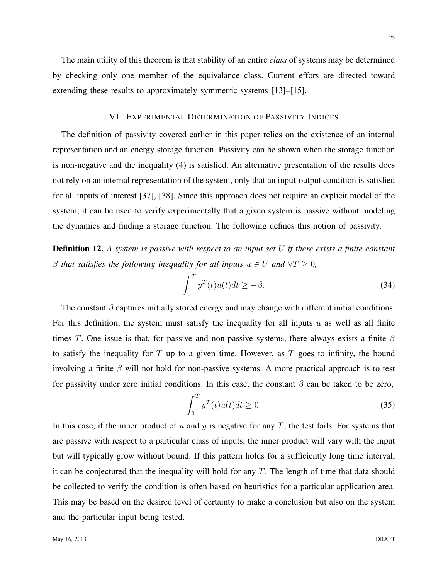The main utility of this theorem is that stability of an entire *class* of systems may be determined by checking only one member of the equivalance class. Current effors are directed toward extending these results to approximately symmetric systems [13]–[15].

## VI. EXPERIMENTAL DETERMINATION OF PASSIVITY INDICES

The definition of passivity covered earlier in this paper relies on the existence of an internal representation and an energy storage function. Passivity can be shown when the storage function is non-negative and the inequality (4) is satisfied. An alternative presentation of the results does not rely on an internal representation of the system, only that an input-output condition is satisfied for all inputs of interest [37], [38]. Since this approach does not require an explicit model of the system, it can be used to verify experimentally that a given system is passive without modeling the dynamics and finding a storage function. The following defines this notion of passivity.

Definition 12. *A system is passive with respect to an input set* U *if there exists a finite constant* β *that satisfies the following inequality for all inputs*  $u \in U$  *and*  $\forall T \ge 0$ *,* 

$$
\int_0^T y^T(t)u(t)dt \ge -\beta.
$$
\n(34)

The constant  $\beta$  captures initially stored energy and may change with different initial conditions. For this definition, the system must satisfy the inequality for all inputs  $u$  as well as all finite times T. One issue is that, for passive and non-passive systems, there always exists a finite  $\beta$ to satisfy the inequality for  $T$  up to a given time. However, as  $T$  goes to infinity, the bound involving a finite  $\beta$  will not hold for non-passive systems. A more practical approach is to test for passivity under zero initial conditions. In this case, the constant  $\beta$  can be taken to be zero,

$$
\int_0^T y^T(t)u(t)dt \ge 0.
$$
\n(35)

In this case, if the inner product of u and y is negative for any  $T$ , the test fails. For systems that are passive with respect to a particular class of inputs, the inner product will vary with the input but will typically grow without bound. If this pattern holds for a sufficiently long time interval, it can be conjectured that the inequality will hold for any  $T$ . The length of time that data should be collected to verify the condition is often based on heuristics for a particular application area. This may be based on the desired level of certainty to make a conclusion but also on the system and the particular input being tested.

May 16, 2013 DRAFT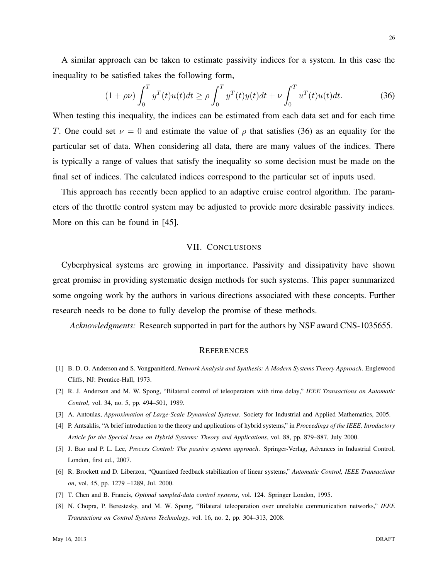A similar approach can be taken to estimate passivity indices for a system. In this case the inequality to be satisfied takes the following form,

$$
(1 + \rho \nu) \int_0^T y^T(t) u(t) dt \ge \rho \int_0^T y^T(t) y(t) dt + \nu \int_0^T u^T(t) u(t) dt.
$$
 (36)

When testing this inequality, the indices can be estimated from each data set and for each time T. One could set  $\nu = 0$  and estimate the value of  $\rho$  that satisfies (36) as an equality for the particular set of data. When considering all data, there are many values of the indices. There is typically a range of values that satisfy the inequality so some decision must be made on the final set of indices. The calculated indices correspond to the particular set of inputs used.

This approach has recently been applied to an adaptive cruise control algorithm. The parameters of the throttle control system may be adjusted to provide more desirable passivity indices. More on this can be found in [45].

### VII. CONCLUSIONS

Cyberphysical systems are growing in importance. Passivity and dissipativity have shown great promise in providing systematic design methods for such systems. This paper summarized some ongoing work by the authors in various directions associated with these concepts. Further research needs to be done to fully develop the promise of these methods.

*Acknowledgments:* Research supported in part for the authors by NSF award CNS-1035655.

## **REFERENCES**

- [1] B. D. O. Anderson and S. Vongpanitlerd, *Network Analysis and Synthesis: A Modern Systems Theory Approach*. Englewood Cliffs, NJ: Prentice-Hall, 1973.
- [2] R. J. Anderson and M. W. Spong, "Bilateral control of teleoperators with time delay," *IEEE Transactions on Automatic Control*, vol. 34, no. 5, pp. 494–501, 1989.
- [3] A. Antoulas, *Approximation of Large-Scale Dynamical Systems*. Society for Industrial and Applied Mathematics, 2005.
- [4] P. Antsaklis, "A brief introduction to the theory and applications of hybrid systems," in *Proceedings of the IEEE, Inroductory Article for the Special Issue on Hybrid Systems: Theory and Applications*, vol. 88, pp. 879–887, July 2000.
- [5] J. Bao and P. L. Lee, *Process Control: The passive systems approach*. Springer-Verlag, Advances in Industrial Control, London, first ed., 2007.
- [6] R. Brockett and D. Liberzon, "Quantized feedback stabilization of linear systems," *Automatic Control, IEEE Transactions on*, vol. 45, pp. 1279 –1289, Jul. 2000.
- [7] T. Chen and B. Francis, *Optimal sampled-data control systems*, vol. 124. Springer London, 1995.
- [8] N. Chopra, P. Berestesky, and M. W. Spong, "Bilateral teleoperation over unreliable communication networks," *IEEE Transactions on Control Systems Technology*, vol. 16, no. 2, pp. 304–313, 2008.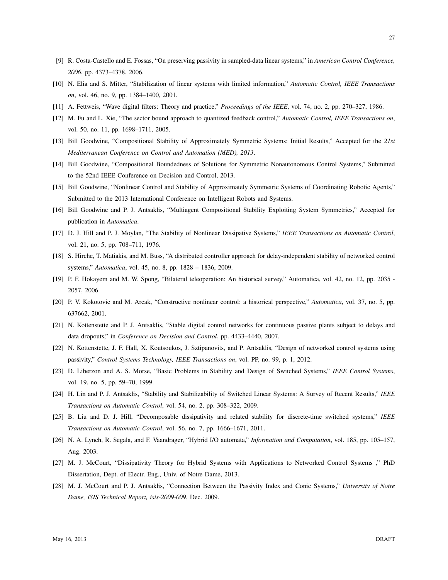- [9] R. Costa-Castello and E. Fossas, "On preserving passivity in sampled-data linear systems," in *American Control Conference, 2006*, pp. 4373–4378, 2006.
- [10] N. Elia and S. Mitter, "Stabilization of linear systems with limited information," *Automatic Control, IEEE Transactions on*, vol. 46, no. 9, pp. 1384–1400, 2001.
- [11] A. Fettweis, "Wave digital filters: Theory and practice," *Proceedings of the IEEE*, vol. 74, no. 2, pp. 270–327, 1986.
- [12] M. Fu and L. Xie, "The sector bound approach to quantized feedback control," *Automatic Control, IEEE Transactions on*, vol. 50, no. 11, pp. 1698–1711, 2005.
- [13] Bill Goodwine, "Compositional Stability of Approximately Symmetric Systems: Initial Results," Accepted for the *21st Mediterranean Conference on Control and Automation (MED), 2013*.
- [14] Bill Goodwine, "Compositional Boundedness of Solutions for Symmetric Nonautonomous Control Systems," Submitted to the 52nd IEEE Conference on Decision and Control, 2013.
- [15] Bill Goodwine, "Nonlinear Control and Stability of Approximately Symmetric Systems of Coordinating Robotic Agents," Submitted to the 2013 International Conference on Intelligent Robots and Systems.
- [16] Bill Goodwine and P. J. Antsaklis, "Multiagent Compositional Stability Exploiting System Symmetries," Accepted for publication in *Automatica*.
- [17] D. J. Hill and P. J. Moylan, "The Stability of Nonlinear Dissipative Systems," *IEEE Transactions on Automatic Control*, vol. 21, no. 5, pp. 708–711, 1976.
- [18] S. Hirche, T. Matiakis, and M. Buss, "A distributed controller approach for delay-independent stability of networked control systems," *Automatica*, vol. 45, no. 8, pp. 1828 – 1836, 2009.
- [19] P. F. Hokayem and M. W. Spong, "Bilateral teleoperation: An historical survey," Automatica, vol. 42, no. 12, pp. 2035 2057, 2006
- [20] P. V. Kokotovic and M. Arcak, "Constructive nonlinear control: a historical perspective," *Automatica*, vol. 37, no. 5, pp. 637662, 2001.
- [21] N. Kottenstette and P. J. Antsaklis, "Stable digital control networks for continuous passive plants subject to delays and data dropouts," in *Conference on Decision and Control*, pp. 4433–4440, 2007.
- [22] N. Kottenstette, J. F. Hall, X. Koutsoukos, J. Sztipanovits, and P. Antsaklis, "Design of networked control systems using passivity," *Control Systems Technology, IEEE Transactions on*, vol. PP, no. 99, p. 1, 2012.
- [23] D. Liberzon and A. S. Morse, "Basic Problems in Stability and Design of Switched Systems," *IEEE Control Systems*, vol. 19, no. 5, pp. 59–70, 1999.
- [24] H. Lin and P. J. Antsaklis, "Stability and Stabilizability of Switched Linear Systems: A Survey of Recent Results," *IEEE Transactions on Automatic Control*, vol. 54, no. 2, pp. 308–322, 2009.
- [25] B. Liu and D. J. Hill, "Decomposable dissipativity and related stability for discrete-time switched systems," *IEEE Transactions on Automatic Control*, vol. 56, no. 7, pp. 1666–1671, 2011.
- [26] N. A. Lynch, R. Segala, and F. Vaandrager, "Hybrid I/O automata," *Information and Computation*, vol. 185, pp. 105–157, Aug. 2003.
- [27] M. J. McCourt, "Dissipativity Theory for Hybrid Systems with Applications to Networked Control Systems ," PhD Dissertation, Dept. of Electr. Eng., Univ. of Notre Dame, 2013.
- [28] M. J. McCourt and P. J. Antsaklis, "Connection Between the Passivity Index and Conic Systems," *University of Notre Dame, ISIS Technical Report, isis-2009-009*, Dec. 2009.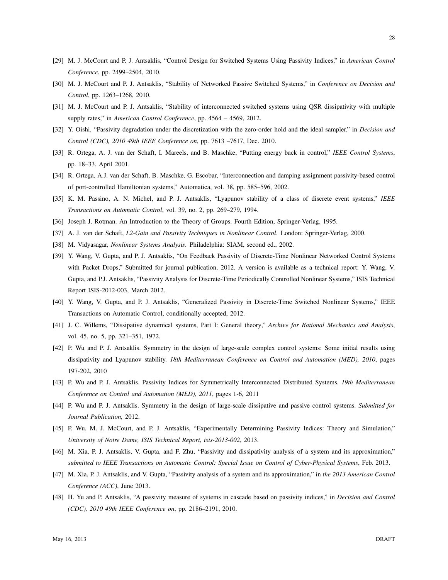- [29] M. J. McCourt and P. J. Antsaklis, "Control Design for Switched Systems Using Passivity Indices," in *American Control Conference*, pp. 2499–2504, 2010.
- [30] M. J. McCourt and P. J. Antsaklis, "Stability of Networked Passive Switched Systems," in *Conference on Decision and Control*, pp. 1263–1268, 2010.
- [31] M. J. McCourt and P. J. Antsaklis, "Stability of interconnected switched systems using QSR dissipativity with multiple supply rates," in *American Control Conference*, pp. 4564 – 4569, 2012.
- [32] Y. Oishi, "Passivity degradation under the discretization with the zero-order hold and the ideal sampler," in *Decision and Control (CDC), 2010 49th IEEE Conference on*, pp. 7613 –7617, Dec. 2010.
- [33] R. Ortega, A. J. van der Schaft, I. Mareels, and B. Maschke, "Putting energy back in control," *IEEE Control Systems*, pp. 18–33, April 2001.
- [34] R. Ortega, A.J. van der Schaft, B. Maschke, G. Escobar, "Interconnection and damping assignment passivity-based control of port-controlled Hamiltonian systems," Automatica, vol. 38, pp. 585–596, 2002.
- [35] K. M. Passino, A. N. Michel, and P. J. Antsaklis, "Lyapunov stability of a class of discrete event systems," *IEEE Transactions on Automatic Control*, vol. 39, no. 2, pp. 269–279, 1994.
- [36] Joseph J. Rotman. An Introduction to the Theory of Groups. Fourth Edition, Springer-Verlag, 1995.
- [37] A. J. van der Schaft, *L2-Gain and Passivity Techniques in Nonlinear Control*. London: Springer-Verlag, 2000.
- [38] M. Vidyasagar, *Nonlinear Systems Analysis*. Philadelphia: SIAM, second ed., 2002.
- [39] Y. Wang, V. Gupta, and P. J. Antsaklis, "On Feedback Passivity of Discrete-Time Nonlinear Networked Control Systems with Packet Drops," Submitted for journal publication, 2012. A version is available as a technical report: Y. Wang, V. Gupta, and P.J. Antsaklis, "Passivity Analysis for Discrete-Time Periodically Controlled Nonlinear Systems," ISIS Technical Report ISIS-2012-003, March 2012.
- [40] Y. Wang, V. Gupta, and P. J. Antsaklis, "Generalized Passivity in Discrete-Time Switched Nonlinear Systems," IEEE Transactions on Automatic Control, conditionally accepted, 2012.
- [41] J. C. Willems, "Dissipative dynamical systems, Part I: General theory," *Archive for Rational Mechanics and Analysis*, vol. 45, no. 5, pp. 321–351, 1972.
- [42] P. Wu and P. J. Antsaklis. Symmetry in the design of large-scale complex control systems: Some initial results using dissipativity and Lyapunov stability. *18th Mediterranean Conference on Control and Automation (MED), 2010*, pages 197-202, 2010
- [43] P. Wu and P. J. Antsaklis. Passivity Indices for Symmetrically Interconnected Distributed Systems. *19th Mediterranean Conference on Control and Automation (MED), 2011*, pages 1-6, 2011
- [44] P. Wu and P. J. Antsaklis. Symmetry in the design of large-scale dissipative and passive control systems. *Submitted for Journal Publication,* 2012.
- [45] P. Wu, M. J. McCourt, and P. J. Antsaklis, "Experimentally Determining Passivity Indices: Theory and Simulation," *University of Notre Dame, ISIS Technical Report, isis-2013-002*, 2013.
- [46] M. Xia, P. J. Antsaklis, V. Gupta, and F. Zhu, "Passivity and dissipativity analysis of a system and its approximation," *submitted to IEEE Transactions on Automatic Control: Special Issue on Control of Cyber-Physical Systems*, Feb. 2013.
- [47] M. Xia, P. J. Antsaklis, and V. Gupta, "Passivity analysis of a system and its approximation," in *the 2013 American Control Conference (ACC)*, June 2013.
- [48] H. Yu and P. Antsaklis, "A passivity measure of systems in cascade based on passivity indices," in *Decision and Control (CDC), 2010 49th IEEE Conference on*, pp. 2186–2191, 2010.